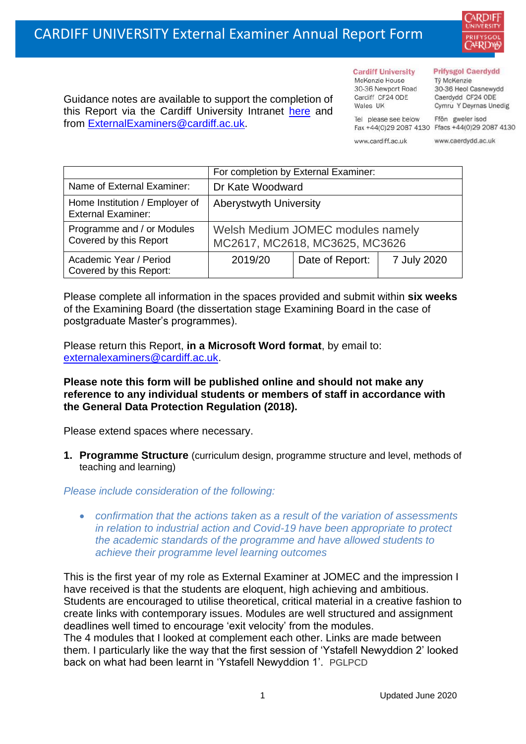

Guidance notes are available to support the completion of this Report via the Cardiff University Intranet [here](https://intranet.cardiff.ac.uk/staff/teaching-and-supporting-students/exams-and-assessment/exam-boards-and-external-examiners/for-current-external-examiners/external-examiners-reports) and from [ExternalExaminers@cardiff.ac.uk.](mailto:ExternalExaminers@cardiff.ac.uk)

**Cardiff University** McKenzie House 30-36 Newport Road Cardiff CF24 ODE

#### **Prifysgol Caerdydd**

Từ McKenzie 30-36 Heol Casnewydd Caerdydd CF24 ODE Cymru Y Deyrnas Unedig

Ffôn gweler isod Fax +44(0)29 2087 4130 Ffacs +44(0)29 2087 4130

www.cardiff.ac.uk

Tel please see below

Wales IIK

www.caerdydd.ac.uk

|                                                             | For completion by External Examiner:                                |                 |             |
|-------------------------------------------------------------|---------------------------------------------------------------------|-----------------|-------------|
| Name of External Examiner:                                  | Dr Kate Woodward                                                    |                 |             |
| Home Institution / Employer of<br><b>External Examiner:</b> | <b>Aberystwyth University</b>                                       |                 |             |
| Programme and / or Modules<br>Covered by this Report        | Welsh Medium JOMEC modules namely<br>MC2617, MC2618, MC3625, MC3626 |                 |             |
| Academic Year / Period<br>Covered by this Report:           | 2019/20                                                             | Date of Report: | 7 July 2020 |

Please complete all information in the spaces provided and submit within **six weeks** of the Examining Board (the dissertation stage Examining Board in the case of postgraduate Master's programmes).

Please return this Report, **in a Microsoft Word format**, by email to: [externalexaminers@cardiff.ac.uk.](mailto:externalexaminers@cardiff.ac.uk)

## **Please note this form will be published online and should not make any reference to any individual students or members of staff in accordance with the General Data Protection Regulation (2018).**

Please extend spaces where necessary.

**1. Programme Structure** (curriculum design, programme structure and level, methods of teaching and learning)

*Please include consideration of the following:* 

• *confirmation that the actions taken as a result of the variation of assessments in relation to industrial action and Covid-19 have been appropriate to protect the academic standards of the programme and have allowed students to achieve their programme level learning outcomes*

This is the first year of my role as External Examiner at JOMEC and the impression I have received is that the students are eloquent, high achieving and ambitious. Students are encouraged to utilise theoretical, critical material in a creative fashion to create links with contemporary issues. Modules are well structured and assignment deadlines well timed to encourage 'exit velocity' from the modules. The 4 modules that I looked at complement each other. Links are made between

them. I particularly like the way that the first session of 'Ystafell Newyddion 2' looked back on what had been learnt in 'Ystafell Newyddion 1'. PGLPCD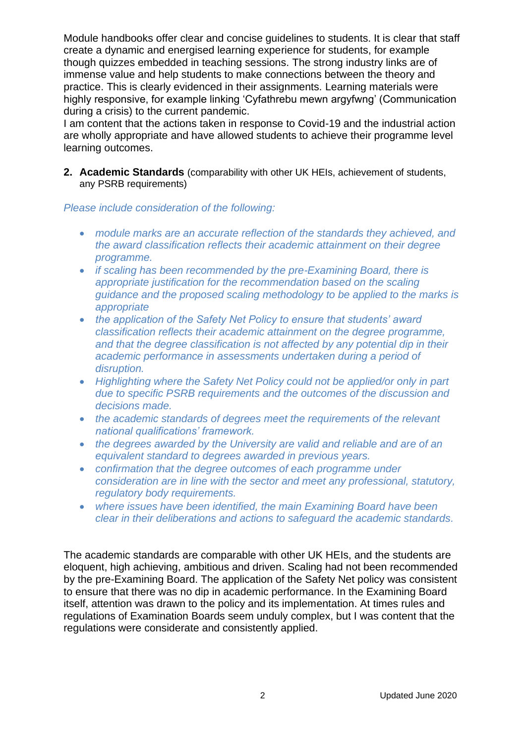Module handbooks offer clear and concise guidelines to students. It is clear that staff create a dynamic and energised learning experience for students, for example though quizzes embedded in teaching sessions. The strong industry links are of immense value and help students to make connections between the theory and practice. This is clearly evidenced in their assignments. Learning materials were highly responsive, for example linking 'Cyfathrebu mewn argyfwng' (Communication during a crisis) to the current pandemic.

I am content that the actions taken in response to Covid-19 and the industrial action are wholly appropriate and have allowed students to achieve their programme level learning outcomes.

**2. Academic Standards** (comparability with other UK HEIs, achievement of students, any PSRB requirements)

### *Please include consideration of the following:*

- *module marks are an accurate reflection of the standards they achieved, and the award classification reflects their academic attainment on their degree programme.*
- *if scaling has been recommended by the pre-Examining Board, there is appropriate justification for the recommendation based on the scaling guidance and the proposed scaling methodology to be applied to the marks is appropriate*
- *the application of the Safety Net Policy to ensure that students' award classification reflects their academic attainment on the degree programme, and that the degree classification is not affected by any potential dip in their academic performance in assessments undertaken during a period of disruption.*
- *Highlighting where the Safety Net Policy could not be applied/or only in part due to specific PSRB requirements and the outcomes of the discussion and decisions made.*
- *the academic standards of degrees meet the requirements of the relevant national qualifications' framework.*
- *the degrees awarded by the University are valid and reliable and are of an equivalent standard to degrees awarded in previous years.*
- *confirmation that the degree outcomes of each programme under consideration are in line with the sector and meet any professional, statutory, regulatory body requirements.*
- *where issues have been identified, the main Examining Board have been clear in their deliberations and actions to safeguard the academic standards.*

The academic standards are comparable with other UK HEIs, and the students are eloquent, high achieving, ambitious and driven. Scaling had not been recommended by the pre-Examining Board. The application of the Safety Net policy was consistent to ensure that there was no dip in academic performance. In the Examining Board itself, attention was drawn to the policy and its implementation. At times rules and regulations of Examination Boards seem unduly complex, but I was content that the regulations were considerate and consistently applied.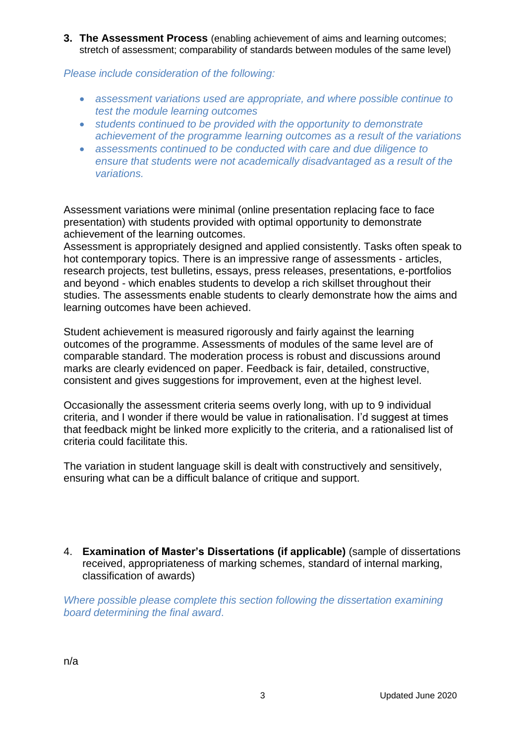**3. The Assessment Process** (enabling achievement of aims and learning outcomes; stretch of assessment; comparability of standards between modules of the same level)

*Please include consideration of the following:* 

- *assessment variations used are appropriate, and where possible continue to test the module learning outcomes*
- *students continued to be provided with the opportunity to demonstrate achievement of the programme learning outcomes as a result of the variations*
- *assessments continued to be conducted with care and due diligence to ensure that students were not academically disadvantaged as a result of the variations.*

Assessment variations were minimal (online presentation replacing face to face presentation) with students provided with optimal opportunity to demonstrate achievement of the learning outcomes.

Assessment is appropriately designed and applied consistently. Tasks often speak to hot contemporary topics. There is an impressive range of assessments - articles, research projects, test bulletins, essays, press releases, presentations, e-portfolios and beyond - which enables students to develop a rich skillset throughout their studies. The assessments enable students to clearly demonstrate how the aims and learning outcomes have been achieved.

Student achievement is measured rigorously and fairly against the learning outcomes of the programme. Assessments of modules of the same level are of comparable standard. The moderation process is robust and discussions around marks are clearly evidenced on paper. Feedback is fair, detailed, constructive, consistent and gives suggestions for improvement, even at the highest level.

Occasionally the assessment criteria seems overly long, with up to 9 individual criteria, and I wonder if there would be value in rationalisation. I'd suggest at times that feedback might be linked more explicitly to the criteria, and a rationalised list of criteria could facilitate this.

The variation in student language skill is dealt with constructively and sensitively, ensuring what can be a difficult balance of critique and support.

4. **Examination of Master's Dissertations (if applicable)** (sample of dissertations received, appropriateness of marking schemes, standard of internal marking, classification of awards)

*Where possible please complete this section following the dissertation examining board determining the final award*.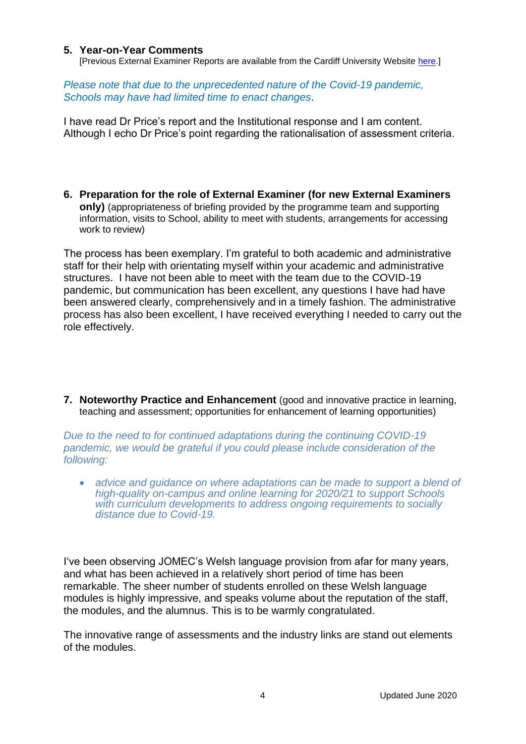### **5. Year-on-Year Comments**

[Previous External Examiner Reports are available from the Cardiff University Website [here.](https://www.cardiff.ac.uk/public-information/quality-and-standards/external-examiner-reports)]

*Please note that due to the unprecedented nature of the Covid-19 pandemic, Schools may have had limited time to enact changes*.

I have read Dr Price's report and the Institutional response and I am content. Although I echo Dr Price's point regarding the rationalisation of assessment criteria.

**6. Preparation for the role of External Examiner (for new External Examiners only)** (appropriateness of briefing provided by the programme team and supporting information, visits to School, ability to meet with students, arrangements for accessing work to review)

The process has been exemplary. I'm grateful to both academic and administrative staff for their help with orientating myself within your academic and administrative structures. I have not been able to meet with the team due to the COVID-19 pandemic, but communication has been excellent, any questions I have had have been answered clearly, comprehensively and in a timely fashion. The administrative process has also been excellent, I have received everything I needed to carry out the role effectively.

**7. Noteworthy Practice and Enhancement** (good and innovative practice in learning, teaching and assessment; opportunities for enhancement of learning opportunities)

*Due to the need to for continued adaptations during the continuing COVID-19 pandemic, we would be grateful if you could please include consideration of the following:* 

• *advice and quidance on where adaptations can be made to support a blend of high-quality on-campus and online learning for 2020/21 to support Schools with curriculum developments to address ongoing requirements to socially distance due to Covid-19.*

I've been observing JOMEC's Welsh language provision from afar for many years, and what has been achieved in a relatively short period of time has been remarkable. The sheer number of students enrolled on these Welsh language modules is highly impressive, and speaks volume about the reputation of the staff, the modules, and the alumnus. This is to be warmly congratulated.

The innovative range of assessments and the industry links are stand out elements of the modules.